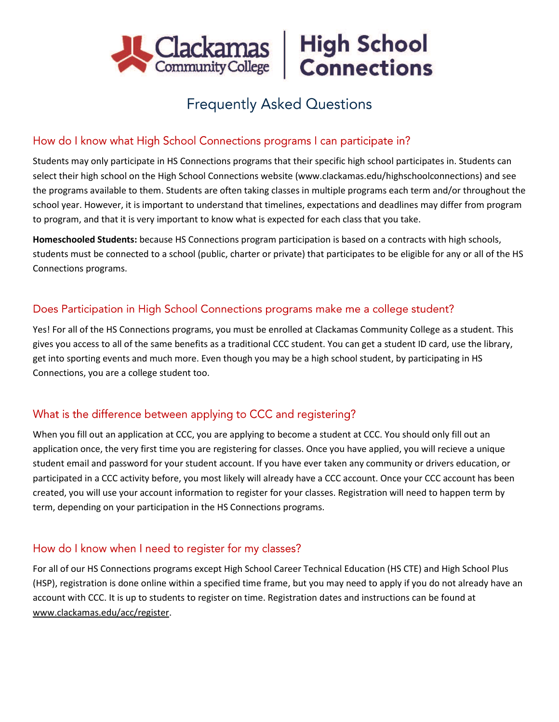



# **Frequently Asked Questions**

## How do I know what High School Connections programs I can participate in?

Students may only participate in HS Connections programs that their specific high school participates in. Students can select their high school on the High School Connections website (www.clackamas.edu/highschoolconnections) and see the programs available to them. Students are often taking classes in multiple programs each term and/or throughout the school year. However, it is important to understand that timelines, expectations and deadlines may differ from program to program, and that it is very important to know what is expected for each class that you take.

**Homeschooled Students:** because HS Connections program participation is based on a contracts with high schools, students must be connected to a school (public, charter or private) that participates to be eligible for any or all of the HS Connections programs.

# Does Participation in High School Connections programs make me a college student?

Yes! For all of the HS Connections programs, you must be enrolled at Clackamas Community College as a student. This gives you access to all of the same benefits as a traditional CCC student. You can get a student ID card, use the library, get into sporting events and much more. Even though you may be a high school student, by participating in HS Connections, you are a college student too.

# What is the difference between applying to CCC and registering?

When you fill out an application at CCC, you are applying to become a student at CCC. You should only fill out an application once, the very first time you are registering for classes. Once you have applied, you will recieve a unique student email and password for your student account. If you have ever taken any community or drivers education, or participated in a CCC activity before, you most likely will already have a CCC account. Once your CCC account has been created, you will use your account information to register for your classes. Registration will need to happen term by term, depending on your participation in the HS Connections programs.

# How do I know when I need to register for my classes?

For all of our HS Connections programs except High School Career Technical Education (HS CTE) and High School Plus (HSP), registration is done online within a specified time frame, but you may need to apply if you do not already have an account with CCC. It is up to students to register on time. Registration dates and instructions can be found at www.clackamas.edu/acc/register.